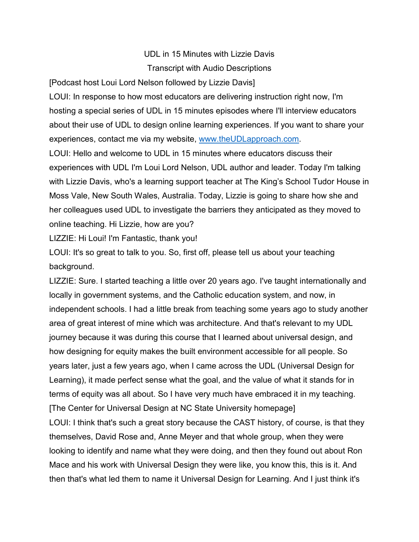## UDL in 15 Minutes with Lizzie Davis Transcript with Audio Descriptions

[Podcast host Loui Lord Nelson followed by Lizzie Davis]

LOUI: In response to how most educators are delivering instruction right now, I'm hosting a special series of UDL in 15 minutes episodes where I'll interview educators about their use of UDL to design online learning experiences. If you want to share your experiences, contact me via my website, [www.theUDLapproach.com.](http://www.theudlapproach.com/)

LOUI: Hello and welcome to UDL in 15 minutes where educators discuss their experiences with UDL I'm Loui Lord Nelson, UDL author and leader. Today I'm talking with Lizzie Davis, who's a learning support teacher at The King's School Tudor House in Moss Vale, New South Wales, Australia. Today, Lizzie is going to share how she and her colleagues used UDL to investigate the barriers they anticipated as they moved to online teaching. Hi Lizzie, how are you?

LIZZIE: Hi Loui! I'm Fantastic, thank you!

LOUI: It's so great to talk to you. So, first off, please tell us about your teaching background.

LIZZIE: Sure. I started teaching a little over 20 years ago. I've taught internationally and locally in government systems, and the Catholic education system, and now, in independent schools. I had a little break from teaching some years ago to study another area of great interest of mine which was architecture. And that's relevant to my UDL journey because it was during this course that I learned about universal design, and how designing for equity makes the built environment accessible for all people. So years later, just a few years ago, when I came across the UDL (Universal Design for Learning), it made perfect sense what the goal, and the value of what it stands for in terms of equity was all about. So I have very much have embraced it in my teaching. [The Center for Universal Design at NC State University homepage] LOUI: I think that's such a great story because the CAST history, of course, is that they themselves, David Rose and, Anne Meyer and that whole group, when they were

looking to identify and name what they were doing, and then they found out about Ron Mace and his work with Universal Design they were like, you know this, this is it. And then that's what led them to name it Universal Design for Learning. And I just think it's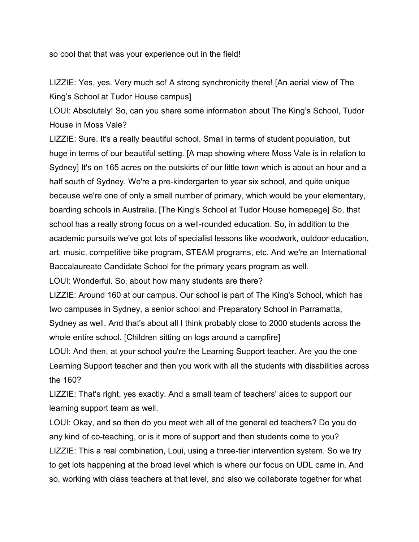so cool that that was your experience out in the field!

LIZZIE: Yes, yes. Very much so! A strong synchronicity there! [An aerial view of The King's School at Tudor House campus]

LOUI: Absolutely! So, can you share some information about The King's School, Tudor House in Moss Vale?

LIZZIE: Sure. It's a really beautiful school. Small in terms of student population, but huge in terms of our beautiful setting. [A map showing where Moss Vale is in relation to Sydney] It's on 165 acres on the outskirts of our little town which is about an hour and a half south of Sydney. We're a pre-kindergarten to year six school, and quite unique because we're one of only a small number of primary, which would be your elementary, boarding schools in Australia. [The King's School at Tudor House homepage] So, that school has a really strong focus on a well-rounded education. So, in addition to the academic pursuits we've got lots of specialist lessons like woodwork, outdoor education, art, music, competitive bike program, STEAM programs, etc. And we're an International Baccalaureate Candidate School for the primary years program as well.

LOUI: Wonderful. So, about how many students are there?

LIZZIE: Around 160 at our campus. Our school is part of The King's School, which has two campuses in Sydney, a senior school and Preparatory School in Parramatta, Sydney as well. And that's about all I think probably close to 2000 students across the whole entire school. [Children sitting on logs around a campfire]

LOUI: And then, at your school you're the Learning Support teacher. Are you the one Learning Support teacher and then you work with all the students with disabilities across the 160?

LIZZIE: That's right, yes exactly. And a small team of teachers' aides to support our learning support team as well.

LOUI: Okay, and so then do you meet with all of the general ed teachers? Do you do any kind of co-teaching, or is it more of support and then students come to you? LIZZIE: This a real combination, Loui, using a three-tier intervention system. So we try to get lots happening at the broad level which is where our focus on UDL came in. And so, working with class teachers at that level, and also we collaborate together for what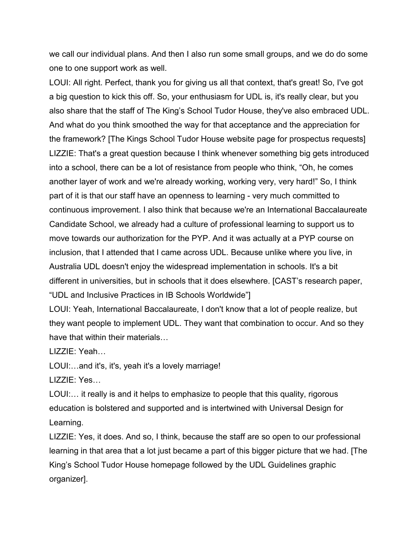we call our individual plans. And then I also run some small groups, and we do do some one to one support work as well.

LOUI: All right. Perfect, thank you for giving us all that context, that's great! So, I've got a big question to kick this off. So, your enthusiasm for UDL is, it's really clear, but you also share that the staff of The King's School Tudor House, they've also embraced UDL. And what do you think smoothed the way for that acceptance and the appreciation for the framework? [The Kings School Tudor House website page for prospectus requests] LIZZIE: That's a great question because I think whenever something big gets introduced into a school, there can be a lot of resistance from people who think, "Oh, he comes another layer of work and we're already working, working very, very hard!" So, I think part of it is that our staff have an openness to learning - very much committed to continuous improvement. I also think that because we're an International Baccalaureate Candidate School, we already had a culture of professional learning to support us to move towards our authorization for the PYP. And it was actually at a PYP course on inclusion, that I attended that I came across UDL. Because unlike where you live, in Australia UDL doesn't enjoy the widespread implementation in schools. It's a bit different in universities, but in schools that it does elsewhere. [CAST's research paper, "UDL and Inclusive Practices in IB Schools Worldwide"]

LOUI: Yeah, International Baccalaureate, I don't know that a lot of people realize, but they want people to implement UDL. They want that combination to occur. And so they have that within their materials…

LIZZIE: Yeah…

LOUI:…and it's, it's, yeah it's a lovely marriage!

LIZZIE: Yes…

LOUI:… it really is and it helps to emphasize to people that this quality, rigorous education is bolstered and supported and is intertwined with Universal Design for Learning.

LIZZIE: Yes, it does. And so, I think, because the staff are so open to our professional learning in that area that a lot just became a part of this bigger picture that we had. [The King's School Tudor House homepage followed by the UDL Guidelines graphic organizer].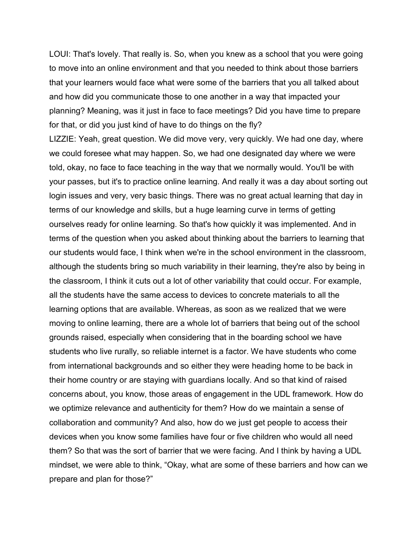LOUI: That's lovely. That really is. So, when you knew as a school that you were going to move into an online environment and that you needed to think about those barriers that your learners would face what were some of the barriers that you all talked about and how did you communicate those to one another in a way that impacted your planning? Meaning, was it just in face to face meetings? Did you have time to prepare for that, or did you just kind of have to do things on the fly?

LIZZIE: Yeah, great question. We did move very, very quickly. We had one day, where we could foresee what may happen. So, we had one designated day where we were told, okay, no face to face teaching in the way that we normally would. You'll be with your passes, but it's to practice online learning. And really it was a day about sorting out login issues and very, very basic things. There was no great actual learning that day in terms of our knowledge and skills, but a huge learning curve in terms of getting ourselves ready for online learning. So that's how quickly it was implemented. And in terms of the question when you asked about thinking about the barriers to learning that our students would face, I think when we're in the school environment in the classroom, although the students bring so much variability in their learning, they're also by being in the classroom, I think it cuts out a lot of other variability that could occur. For example, all the students have the same access to devices to concrete materials to all the learning options that are available. Whereas, as soon as we realized that we were moving to online learning, there are a whole lot of barriers that being out of the school grounds raised, especially when considering that in the boarding school we have students who live rurally, so reliable internet is a factor. We have students who come from international backgrounds and so either they were heading home to be back in their home country or are staying with guardians locally. And so that kind of raised concerns about, you know, those areas of engagement in the UDL framework. How do we optimize relevance and authenticity for them? How do we maintain a sense of collaboration and community? And also, how do we just get people to access their devices when you know some families have four or five children who would all need them? So that was the sort of barrier that we were facing. And I think by having a UDL mindset, we were able to think, "Okay, what are some of these barriers and how can we prepare and plan for those?"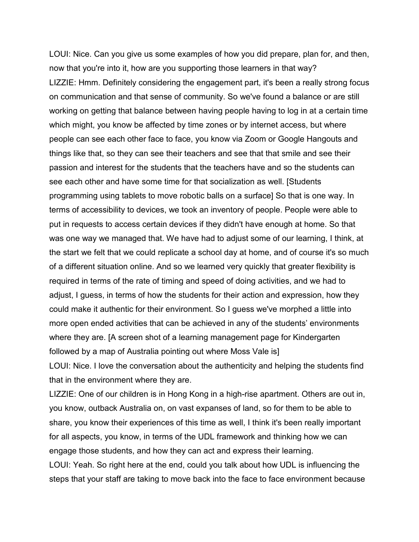LOUI: Nice. Can you give us some examples of how you did prepare, plan for, and then, now that you're into it, how are you supporting those learners in that way? LIZZIE: Hmm. Definitely considering the engagement part, it's been a really strong focus on communication and that sense of community. So we've found a balance or are still working on getting that balance between having people having to log in at a certain time which might, you know be affected by time zones or by internet access, but where people can see each other face to face, you know via Zoom or Google Hangouts and things like that, so they can see their teachers and see that that smile and see their passion and interest for the students that the teachers have and so the students can see each other and have some time for that socialization as well. [Students programming using tablets to move robotic balls on a surface] So that is one way. In terms of accessibility to devices, we took an inventory of people. People were able to put in requests to access certain devices if they didn't have enough at home. So that was one way we managed that. We have had to adjust some of our learning, I think, at the start we felt that we could replicate a school day at home, and of course it's so much of a different situation online. And so we learned very quickly that greater flexibility is required in terms of the rate of timing and speed of doing activities, and we had to adjust, I guess, in terms of how the students for their action and expression, how they could make it authentic for their environment. So I guess we've morphed a little into more open ended activities that can be achieved in any of the students' environments where they are. [A screen shot of a learning management page for Kindergarten followed by a map of Australia pointing out where Moss Vale is] LOUI: Nice. I love the conversation about the authenticity and helping the students find that in the environment where they are.

LIZZIE: One of our children is in Hong Kong in a high-rise apartment. Others are out in, you know, outback Australia on, on vast expanses of land, so for them to be able to share, you know their experiences of this time as well, I think it's been really important for all aspects, you know, in terms of the UDL framework and thinking how we can engage those students, and how they can act and express their learning. LOUI: Yeah. So right here at the end, could you talk about how UDL is influencing the steps that your staff are taking to move back into the face to face environment because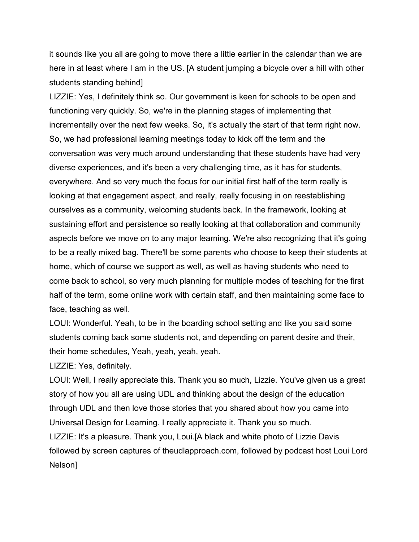it sounds like you all are going to move there a little earlier in the calendar than we are here in at least where I am in the US. [A student jumping a bicycle over a hill with other students standing behind]

LIZZIE: Yes, I definitely think so. Our government is keen for schools to be open and functioning very quickly. So, we're in the planning stages of implementing that incrementally over the next few weeks. So, it's actually the start of that term right now. So, we had professional learning meetings today to kick off the term and the conversation was very much around understanding that these students have had very diverse experiences, and it's been a very challenging time, as it has for students, everywhere. And so very much the focus for our initial first half of the term really is looking at that engagement aspect, and really, really focusing in on reestablishing ourselves as a community, welcoming students back. In the framework, looking at sustaining effort and persistence so really looking at that collaboration and community aspects before we move on to any major learning. We're also recognizing that it's going to be a really mixed bag. There'll be some parents who choose to keep their students at home, which of course we support as well, as well as having students who need to come back to school, so very much planning for multiple modes of teaching for the first half of the term, some online work with certain staff, and then maintaining some face to face, teaching as well.

LOUI: Wonderful. Yeah, to be in the boarding school setting and like you said some students coming back some students not, and depending on parent desire and their, their home schedules, Yeah, yeah, yeah, yeah.

LIZZIE: Yes, definitely.

LOUI: Well, I really appreciate this. Thank you so much, Lizzie. You've given us a great story of how you all are using UDL and thinking about the design of the education through UDL and then love those stories that you shared about how you came into Universal Design for Learning. I really appreciate it. Thank you so much. LIZZIE: It's a pleasure. Thank you, Loui.[A black and white photo of Lizzie Davis followed by screen captures of theudlapproach.com, followed by podcast host Loui Lord Nelson]